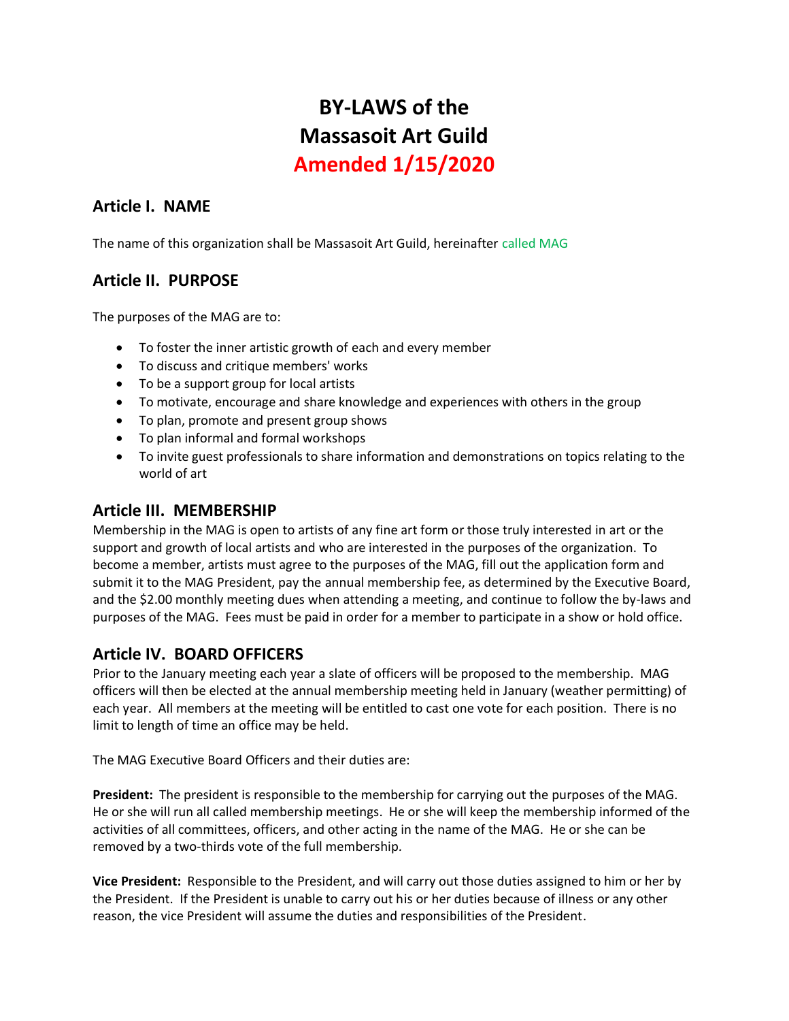# **BY-LAWS of the Massasoit Art Guild Amended 1/15/2020**

## **Article I. NAME**

The name of this organization shall be Massasoit Art Guild, hereinafter called MAG

## **Article II. PURPOSE**

The purposes of the MAG are to:

- To foster the inner artistic growth of each and every member
- To discuss and critique members' works
- To be a support group for local artists
- To motivate, encourage and share knowledge and experiences with others in the group
- To plan, promote and present group shows
- To plan informal and formal workshops
- To invite guest professionals to share information and demonstrations on topics relating to the world of art

#### **Article III. MEMBERSHIP**

Membership in the MAG is open to artists of any fine art form or those truly interested in art or the support and growth of local artists and who are interested in the purposes of the organization. To become a member, artists must agree to the purposes of the MAG, fill out the application form and submit it to the MAG President, pay the annual membership fee, as determined by the Executive Board, and the \$2.00 monthly meeting dues when attending a meeting, and continue to follow the by-laws and purposes of the MAG. Fees must be paid in order for a member to participate in a show or hold office.

## **Article IV. BOARD OFFICERS**

Prior to the January meeting each year a slate of officers will be proposed to the membership. MAG officers will then be elected at the annual membership meeting held in January (weather permitting) of each year. All members at the meeting will be entitled to cast one vote for each position. There is no limit to length of time an office may be held.

The MAG Executive Board Officers and their duties are:

**President:** The president is responsible to the membership for carrying out the purposes of the MAG. He or she will run all called membership meetings. He or she will keep the membership informed of the activities of all committees, officers, and other acting in the name of the MAG. He or she can be removed by a two-thirds vote of the full membership*.*

**Vice President:** Responsible to the President, and will carry out those duties assigned to him or her by the President. If the President is unable to carry out his or her duties because of illness or any other reason, the vice President will assume the duties and responsibilities of the President.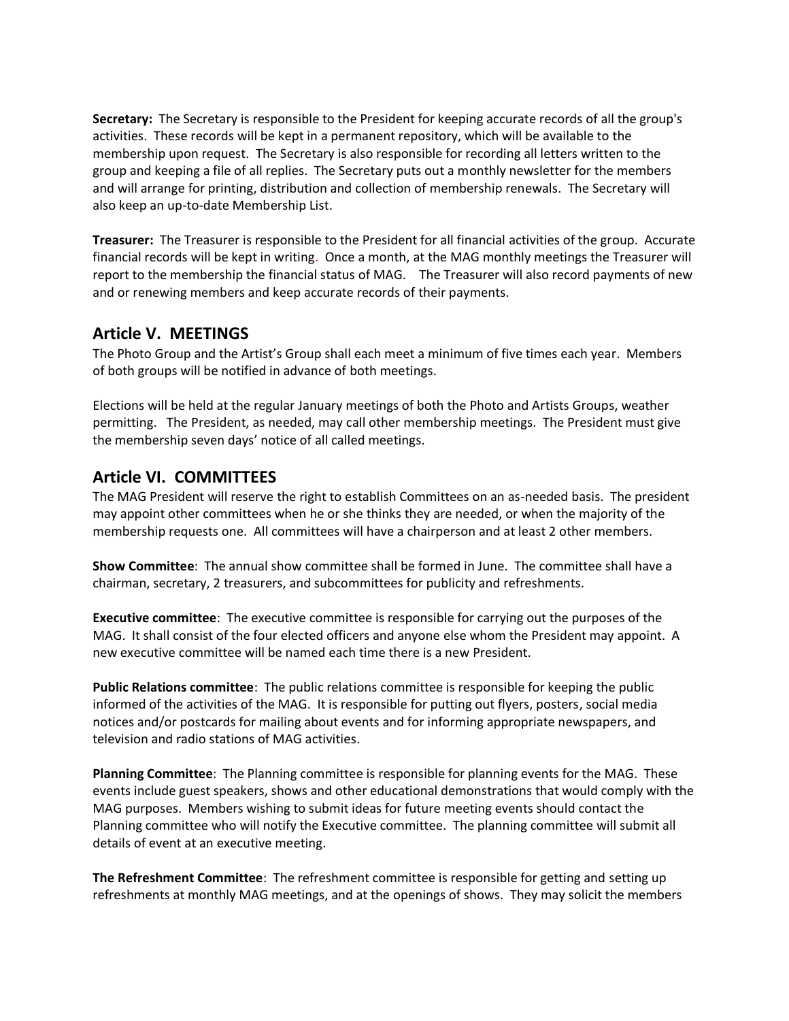**Secretary:** The Secretary is responsible to the President for keeping accurate records of all the group's activities. These records will be kept in a permanent repository, which will be available to the membership upon request. The Secretary is also responsible for recording all letters written to the group and keeping a file of all replies. The Secretary puts out a monthly newsletter for the members and will arrange for printing, distribution and collection of membership renewals. The Secretary will also keep an up-to-date Membership List.

**Treasurer:** The Treasurer is responsible to the President for all financial activities of the group. Accurate financial records will be kept in writing. Once a month, at the MAG monthly meetings the Treasurer will report to the membership the financial status of MAG*.* The Treasurer will also record payments of new and or renewing members and keep accurate records of their payments.

## **Article V. MEETINGS**

The Photo Group and the Artist's Group shall each meet a minimum of five times each year. Members of both groups will be notified in advance of both meetings.

Elections will be held at the regular January meetings of both the Photo and Artists Groups, weather permitting. The President, as needed, may call other membership meetings. The President must give the membership seven days' notice of all called meetings.

## **Article VI. COMMITTEES**

The MAG President will reserve the right to establish Committees on an as-needed basis. The president may appoint other committees when he or she thinks they are needed, or when the majority of the membership requests one. All committees will have a chairperson and at least 2 other members.

**Show Committee**: The annual show committee shall be formed in June. The committee shall have a chairman, secretary, 2 treasurers, and subcommittees for publicity and refreshments.

**Executive committee**: The executive committee is responsible for carrying out the purposes of the MAG. It shall consist of the four elected officers and anyone else whom the President may appoint. A new executive committee will be named each time there is a new President.

**Public Relations committee**: The public relations committee is responsible for keeping the public informed of the activities of the MAG. It is responsible for putting out flyers, posters, social media notices and/or postcards for mailing about events and for informing appropriate newspapers, and television and radio stations of MAG activities.

**Planning Committee**: The Planning committee is responsible for planning events for the MAG. These events include guest speakers, shows and other educational demonstrations that would comply with the MAG purposes. Members wishing to submit ideas for future meeting events should contact the Planning committee who will notify the Executive committee. The planning committee will submit all details of event at an executive meeting.

**The Refreshment Committee**: The refreshment committee is responsible for getting and setting up refreshments at monthly MAG meetings, and at the openings of shows. They may solicit the members